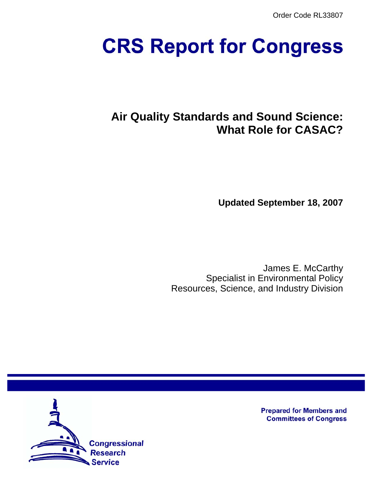Order Code RL33807

# **CRS Report for Congress**

# **Air Quality Standards and Sound Science: What Role for CASAC?**

**Updated September 18, 2007**

James E. McCarthy Specialist in Environmental Policy Resources, Science, and Industry Division



**Prepared for Members and Committees of Congress**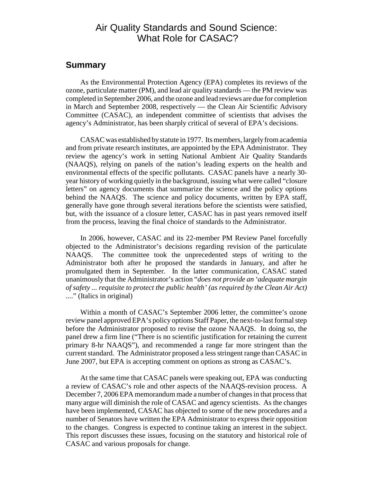# Air Quality Standards and Sound Science: What Role for CASAC?

## **Summary**

As the Environmental Protection Agency (EPA) completes its reviews of the ozone, particulate matter (PM), and lead air quality standards — the PM review was completed in September 2006, and the ozone and lead reviews are due for completion in March and September 2008, respectively — the Clean Air Scientific Advisory Committee (CASAC), an independent committee of scientists that advises the agency's Administrator, has been sharply critical of several of EPA's decisions.

CASAC was established by statute in 1977. Its members, largely from academia and from private research institutes, are appointed by the EPA Administrator. They review the agency's work in setting National Ambient Air Quality Standards (NAAQS), relying on panels of the nation's leading experts on the health and environmental effects of the specific pollutants. CASAC panels have a nearly 30 year history of working quietly in the background, issuing what were called "closure letters" on agency documents that summarize the science and the policy options behind the NAAQS. The science and policy documents, written by EPA staff, generally have gone through several iterations before the scientists were satisfied, but, with the issuance of a closure letter, CASAC has in past years removed itself from the process, leaving the final choice of standards to the Administrator.

In 2006, however, CASAC and its 22-member PM Review Panel forcefully objected to the Administrator's decisions regarding revision of the particulate NAAQS. The committee took the unprecedented steps of writing to the Administrator both after he proposed the standards in January, and after he promulgated them in September. In the latter communication, CASAC stated unanimously that the Administrator's action "*does not provide an 'adequate margin of safety ... requisite to protect the public health' (as required by the Clean Air Act)* ...." (Italics in original)

Within a month of CASAC's September 2006 letter, the committee's ozone review panel approved EPA's policy options Staff Paper, the next-to-last formal step before the Administrator proposed to revise the ozone NAAQS. In doing so, the panel drew a firm line ("There is no scientific justification for retaining the current primary 8-hr NAAQS"), and recommended a range far more stringent than the current standard. The Administrator proposed a less stringent range than CASAC in June 2007, but EPA is accepting comment on options as strong as CASAC's.

At the same time that CASAC panels were speaking out, EPA was conducting a review of CASAC's role and other aspects of the NAAQS-revision process. A December 7, 2006 EPA memorandum made a number of changes in that process that many argue will diminish the role of CASAC and agency scientists. As the changes have been implemented, CASAC has objected to some of the new procedures and a number of Senators have written the EPA Administrator to express their opposition to the changes. Congress is expected to continue taking an interest in the subject. This report discusses these issues, focusing on the statutory and historical role of CASAC and various proposals for change.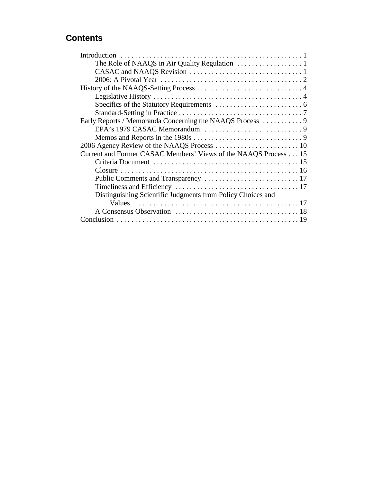# **Contents**

| Current and Former CASAC Members' Views of the NAAQS Process 15 |
|-----------------------------------------------------------------|
|                                                                 |
|                                                                 |
|                                                                 |
|                                                                 |
| Distinguishing Scientific Judgments from Policy Choices and     |
|                                                                 |
|                                                                 |
|                                                                 |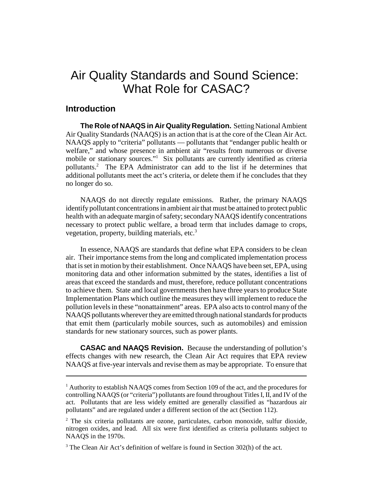# Air Quality Standards and Sound Science: What Role for CASAC?

# **Introduction**

**The Role of NAAQS in Air Quality Regulation.** Setting National Ambient Air Quality Standards (NAAQS) is an action that is at the core of the Clean Air Act. NAAQS apply to "criteria" pollutants — pollutants that "endanger public health or welfare," and whose presence in ambient air "results from numerous or diverse mobile or stationary sources."<sup>1</sup> Six pollutants are currently identified as criteria pollutants.<sup>2</sup> The EPA Administrator can add to the list if he determines that additional pollutants meet the act's criteria, or delete them if he concludes that they no longer do so.

NAAQS do not directly regulate emissions. Rather, the primary NAAQS identify pollutant concentrations in ambient air that must be attained to protect public health with an adequate margin of safety; secondary NAAQS identify concentrations necessary to protect public welfare, a broad term that includes damage to crops, vegetation, property, building materials, etc. $3$ 

In essence, NAAQS are standards that define what EPA considers to be clean air. Their importance stems from the long and complicated implementation process that is set in motion by their establishment. Once NAAQS have been set, EPA, using monitoring data and other information submitted by the states, identifies a list of areas that exceed the standards and must, therefore, reduce pollutant concentrations to achieve them. State and local governments then have three years to produce State Implementation Plans which outline the measures they will implement to reduce the pollution levels in these "nonattainment" areas. EPA also acts to control many of the NAAQS pollutants wherever they are emitted through national standards for products that emit them (particularly mobile sources, such as automobiles) and emission standards for new stationary sources, such as power plants.

**CASAC and NAAQS Revision.** Because the understanding of pollution's effects changes with new research, the Clean Air Act requires that EPA review NAAQS at five-year intervals and revise them as may be appropriate. To ensure that

<sup>&</sup>lt;sup>1</sup> Authority to establish NAAQS comes from Section 109 of the act, and the procedures for controlling NAAQS (or "criteria") pollutants are found throughout Titles I, II, and IV of the act. Pollutants that are less widely emitted are generally classified as "hazardous air pollutants" and are regulated under a different section of the act (Section 112).

<sup>&</sup>lt;sup>2</sup> The six criteria pollutants are ozone, particulates, carbon monoxide, sulfur dioxide, nitrogen oxides, and lead. All six were first identified as criteria pollutants subject to NAAQS in the 1970s.

<sup>&</sup>lt;sup>3</sup> The Clean Air Act's definition of welfare is found in Section 302(h) of the act.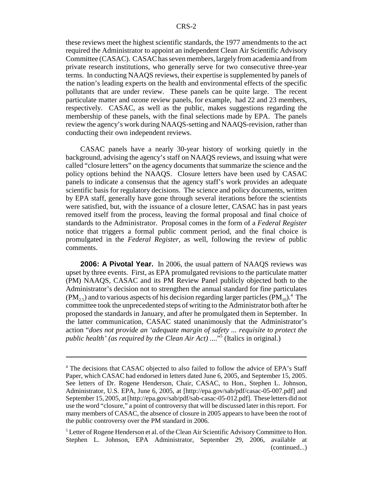these reviews meet the highest scientific standards, the 1977 amendments to the act required the Administrator to appoint an independent Clean Air Scientific Advisory Committee (CASAC). CASAC has seven members, largely from academia and from private research institutions, who generally serve for two consecutive three-year terms. In conducting NAAQS reviews, their expertise is supplemented by panels of the nation's leading experts on the health and environmental effects of the specific pollutants that are under review. These panels can be quite large. The recent particulate matter and ozone review panels, for example, had 22 and 23 members, respectively. CASAC, as well as the public, makes suggestions regarding the membership of these panels, with the final selections made by EPA. The panels review the agency's work during NAAQS-setting and NAAQS-revision, rather than conducting their own independent reviews.

CASAC panels have a nearly 30-year history of working quietly in the background, advising the agency's staff on NAAQS reviews, and issuing what were called "closure letters" on the agency documents that summarize the science and the policy options behind the NAAQS. Closure letters have been used by CASAC panels to indicate a consensus that the agency staff's work provides an adequate scientific basis for regulatory decisions. The science and policy documents, written by EPA staff, generally have gone through several iterations before the scientists were satisfied, but, with the issuance of a closure letter, CASAC has in past years removed itself from the process, leaving the formal proposal and final choice of standards to the Administrator. Proposal comes in the form of a *Federal Register* notice that triggers a formal public comment period, and the final choice is promulgated in the *Federal Register*, as well, following the review of public comments.

**2006: A Pivotal Year.** In 2006, the usual pattern of NAAQS reviews was upset by three events. First, as EPA promulgated revisions to the particulate matter (PM) NAAQS, CASAC and its PM Review Panel publicly objected both to the Administrator's decision not to strengthen the annual standard for fine particulates  $(PM<sub>2.5</sub>)$  and to various aspects of his decision regarding larger particles  $(PM<sub>10</sub>)$ <sup>4</sup>. The committee took the unprecedented steps of writing to the Administrator both after he proposed the standards in January, and after he promulgated them in September. In the latter communication, CASAC stated unanimously that the Administrator's action "*does not provide an 'adequate margin of safety ... requisite to protect the public health' (as required by the Clean Air Act)* ...."5 (Italics in original.)

<sup>&</sup>lt;sup>4</sup> The decisions that CASAC objected to also failed to follow the advice of EPA's Staff Paper, which CASAC had endorsed in letters dated June 6, 2005, and September 15, 2005. See letters of Dr. Rogene Henderson, Chair, CASAC, to Hon., Stephen L. Johnson, Administrator, U.S. EPA, June 6, 2005, at [http://epa.gov/sab/pdf/casac-05-007.pdf] and September 15, 2005, at [http://epa.gov/sab/pdf/sab-casac-05-012.pdf]. These letters did not use the word "closure," a point of controversy that will be discussed later in this report. For many members of CASAC, the absence of closure in 2005 appears to have been the root of the public controversy over the PM standard in 2006.

<sup>&</sup>lt;sup>5</sup> Letter of Rogene Henderson et al. of the Clean Air Scientific Advisory Committee to Hon. Stephen L. Johnson, EPA Administrator, September 29, 2006, available at (continued...)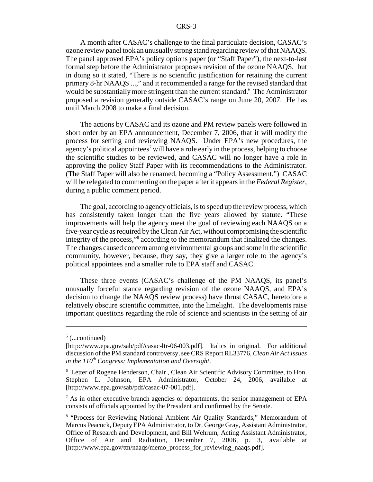A month after CASAC's challenge to the final particulate decision, CASAC's ozone review panel took an unusually strong stand regarding review of that NAAQS. The panel approved EPA's policy options paper (or "Staff Paper"), the next-to-last formal step before the Administrator proposes revision of the ozone NAAQS, but in doing so it stated, "There is no scientific justification for retaining the current primary 8-hr NAAQS ...," and it recommended a range for the revised standard that would be substantially more stringent than the current standard.<sup>6</sup> The Administrator proposed a revision generally outside CASAC's range on June 20, 2007. He has until March 2008 to make a final decision.

The actions by CASAC and its ozone and PM review panels were followed in short order by an EPA announcement, December 7, 2006, that it will modify the process for setting and reviewing NAAQS. Under EPA's new procedures, the agency's political appointees<sup>7</sup> will have a role early in the process, helping to choose the scientific studies to be reviewed, and CASAC will no longer have a role in approving the policy Staff Paper with its recommendations to the Administrator. (The Staff Paper will also be renamed, becoming a "Policy Assessment.") CASAC will be relegated to commenting on the paper after it appears in the *Federal Register*, during a public comment period.

The goal, according to agency officials, is to speed up the review process, which has consistently taken longer than the five years allowed by statute. "These improvements will help the agency meet the goal of reviewing each NAAQS on a five-year cycle as required by the Clean Air Act, without compromising the scientific integrity of the process,"8 according to the memorandum that finalized the changes. The changes caused concern among environmental groups and some in the scientific community, however, because, they say, they give a larger role to the agency's political appointees and a smaller role to EPA staff and CASAC.

These three events (CASAC's challenge of the PM NAAQS, its panel's unusually forceful stance regarding revision of the ozone NAAQS, and EPA's decision to change the NAAQS review process) have thrust CASAC, heretofore a relatively obscure scientific committee, into the limelight. The developments raise important questions regarding the role of science and scientists in the setting of air

 $5$  (...continued)

<sup>[</sup>http://www.epa.gov/sab/pdf/casac-ltr-06-003.pdf]. Italics in original. For additional discussion of the PM standard controversy, see CRS Report RL33776, *Clean Air Act Issues in the 110th Congress: Implementation and Oversight*.

<sup>&</sup>lt;sup>6</sup> Letter of Rogene Henderson, Chair, Clean Air Scientific Advisory Committee, to Hon. Stephen L. Johnson, EPA Administrator, October 24, 2006, available at [http://www.epa.gov/sab/pdf/casac-07-001.pdf].

 $<sup>7</sup>$  As in other executive branch agencies or departments, the senior management of EPA</sup> consists of officials appointed by the President and confirmed by the Senate.

<sup>&</sup>lt;sup>8</sup> "Process for Reviewing National Ambient Air Quality Standards," Memorandum of Marcus Peacock, Deputy EPA Administrator, to Dr. George Gray, Assistant Administrator, Office of Research and Development, and Bill Wehrum, Acting Assistant Administrator, Office of Air and Radiation, December 7, 2006, p. 3, available at [http://www.epa.gov/ttn/naaqs/memo\_process\_for\_reviewing\_naaqs.pdf].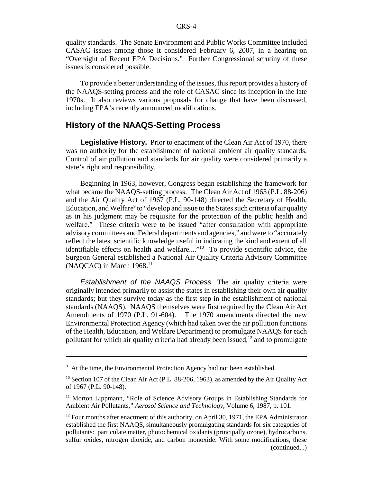quality standards. The Senate Environment and Public Works Committee included CASAC issues among those it considered February 6, 2007, in a hearing on "Oversight of Recent EPA Decisions." Further Congressional scrutiny of these issues is considered possible.

To provide a better understanding of the issues, this report provides a history of the NAAQS-setting process and the role of CASAC since its inception in the late 1970s. It also reviews various proposals for change that have been discussed, including EPA's recently announced modifications.

# **History of the NAAQS-Setting Process**

**Legislative History.** Prior to enactment of the Clean Air Act of 1970, there was no authority for the establishment of national ambient air quality standards. Control of air pollution and standards for air quality were considered primarily a state's right and responsibility.

Beginning in 1963, however, Congress began establishing the framework for what became the NAAQS-setting process. The Clean Air Act of 1963 (P.L. 88-206) and the Air Quality Act of 1967 (P.L. 90-148) directed the Secretary of Health, Education, and Welfare<sup>9</sup> to "develop and issue to the States such criteria of air quality as in his judgment may be requisite for the protection of the public health and welfare." These criteria were to be issued "after consultation with appropriate advisory committees and Federal departments and agencies," and were to "accurately reflect the latest scientific knowledge useful in indicating the kind and extent of all identifiable effects on health and welfare...."<sup>10</sup> To provide scientific advice, the Surgeon General established a National Air Quality Criteria Advisory Committee  $(NAOCAC)$  in March 1968.<sup>11</sup>

*Establishment of the NAAQS Process.* The air quality criteria were originally intended primarily to assist the states in establishing their own air quality standards; but they survive today as the first step in the establishment of national standards (NAAQS). NAAQS themselves were first required by the Clean Air Act Amendments of 1970 (P.L. 91-604). The 1970 amendments directed the new Environmental Protection Agency (which had taken over the air pollution functions of the Health, Education, and Welfare Department) to promulgate NAAQS for each pollutant for which air quality criteria had already been issued, $12$  and to promulgate

<sup>&</sup>lt;sup>9</sup> At the time, the Environmental Protection Agency had not been established.

<sup>&</sup>lt;sup>10</sup> Section 107 of the Clean Air Act (P.L. 88-206, 1963), as amended by the Air Quality Act of 1967 (P.L. 90-148).

 $11$  Morton Lippmann, "Role of Science Advisory Groups in Establishing Standards for Ambient Air Pollutants," *Aerosol Science and Technology*, Volume 6, 1987, p. 101.

 $12$  Four months after enactment of this authority, on April 30, 1971, the EPA Administrator established the first NAAQS, simultaneously promulgating standards for six categories of pollutants: particulate matter, photochemical oxidants (principally ozone), hydrocarbons, sulfur oxides, nitrogen dioxide, and carbon monoxide. With some modifications, these (continued...)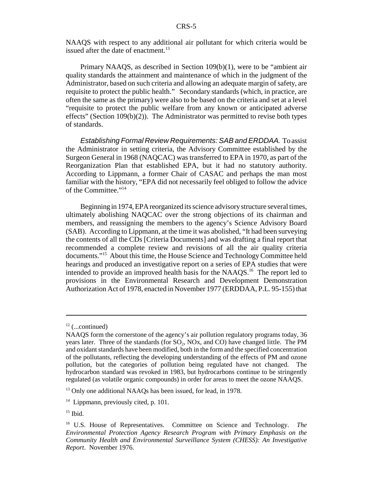NAAQS with respect to any additional air pollutant for which criteria would be issued after the date of enactment.<sup>13</sup>

Primary NAAQS, as described in Section 109(b)(1), were to be "ambient air quality standards the attainment and maintenance of which in the judgment of the Administrator, based on such criteria and allowing an adequate margin of safety, are requisite to protect the public health." Secondary standards (which, in practice, are often the same as the primary) were also to be based on the criteria and set at a level "requisite to protect the public welfare from any known or anticipated adverse effects" (Section  $109(b)(2)$ ). The Administrator was permitted to revise both types of standards.

*Establishing Formal Review Requirements: SAB and ERDDAA.* To assist the Administrator in setting criteria, the Advisory Committee established by the Surgeon General in 1968 (NAQCAC) was transferred to EPA in 1970, as part of the Reorganization Plan that established EPA, but it had no statutory authority. According to Lippmann, a former Chair of CASAC and perhaps the man most familiar with the history, "EPA did not necessarily feel obliged to follow the advice of the Committee."14

Beginning in 1974, EPA reorganized its science advisory structure several times, ultimately abolishing NAQCAC over the strong objections of its chairman and members, and reassigning the members to the agency's Science Advisory Board (SAB). According to Lippmann, at the time it was abolished, "It had been surveying the contents of all the CDs [Criteria Documents] and was drafting a final report that recommended a complete review and revisions of all the air quality criteria documents."15 About this time, the House Science and Technology Committee held hearings and produced an investigative report on a series of EPA studies that were intended to provide an improved health basis for the NAAQS.16 The report led to provisions in the Environmental Research and Development Demonstration Authorization Act of 1978, enacted in November 1977 (ERDDAA, P.L. 95-155) that

 $12$  (...continued)

NAAQS form the cornerstone of the agency's air pollution regulatory programs today, 36 years later. Three of the standards (for  $SO_2$ ,  $NOx$ , and  $CO$ ) have changed little. The PM and oxidant standards have been modified, both in the form and the specified concentration of the pollutants, reflecting the developing understanding of the effects of PM and ozone pollution, but the categories of pollution being regulated have not changed. The hydrocarbon standard was revoked in 1983, but hydrocarbons continue to be stringently regulated (as volatile organic compounds) in order for areas to meet the ozone NAAQS.

<sup>&</sup>lt;sup>13</sup> Only one additional NAAQs has been issued, for lead, in 1978.

<sup>&</sup>lt;sup>14</sup> Lippmann, previously cited, p. 101.

 $15$  Ibid.

<sup>16</sup> U.S. House of Representatives. Committee on Science and Technology. *The Environmental Protection Agency Research Program with Primary Emphasis on the Community Health and Environmental Surveillance System (CHESS): An Investigative Report*. November 1976.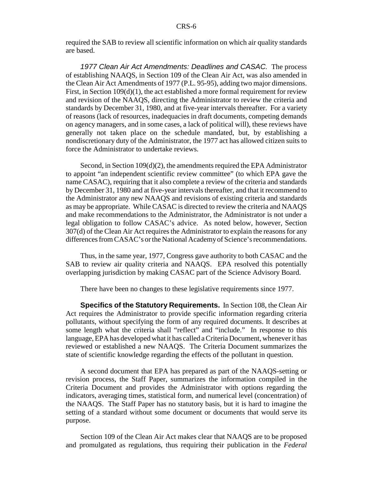required the SAB to review all scientific information on which air quality standards are based.

*1977 Clean Air Act Amendments: Deadlines and CASAC.* The process of establishing NAAQS, in Section 109 of the Clean Air Act, was also amended in the Clean Air Act Amendments of 1977 (P.L. 95-95), adding two major dimensions. First, in Section  $109(d)(1)$ , the act established a more formal requirement for review and revision of the NAAQS, directing the Administrator to review the criteria and standards by December 31, 1980, and at five-year intervals thereafter. For a variety of reasons (lack of resources, inadequacies in draft documents, competing demands on agency managers, and in some cases, a lack of political will), these reviews have generally not taken place on the schedule mandated, but, by establishing a nondiscretionary duty of the Administrator, the 1977 act has allowed citizen suits to force the Administrator to undertake reviews.

Second, in Section  $109(d)(2)$ , the amendments required the EPA Administrator to appoint "an independent scientific review committee" (to which EPA gave the name CASAC), requiring that it also complete a review of the criteria and standards by December 31, 1980 and at five-year intervals thereafter, and that it recommend to the Administrator any new NAAQS and revisions of existing criteria and standards as may be appropriate. While CASAC is directed to review the criteria and NAAQS and make recommendations to the Administrator, the Administrator is not under a legal obligation to follow CASAC's advice. As noted below, however, Section 307(d) of the Clean Air Act requires the Administrator to explain the reasons for any differences from CASAC's or the National Academy of Science's recommendations.

Thus, in the same year, 1977, Congress gave authority to both CASAC and the SAB to review air quality criteria and NAAQS. EPA resolved this potentially overlapping jurisdiction by making CASAC part of the Science Advisory Board.

There have been no changes to these legislative requirements since 1977.

**Specifics of the Statutory Requirements.** In Section 108, the Clean Air Act requires the Administrator to provide specific information regarding criteria pollutants, without specifying the form of any required documents. It describes at some length what the criteria shall "reflect" and "include." In response to this language, EPA has developed what it has called a Criteria Document, whenever it has reviewed or established a new NAAQS. The Criteria Document summarizes the state of scientific knowledge regarding the effects of the pollutant in question.

A second document that EPA has prepared as part of the NAAQS-setting or revision process, the Staff Paper, summarizes the information compiled in the Criteria Document and provides the Administrator with options regarding the indicators, averaging times, statistical form, and numerical level (concentration) of the NAAQS. The Staff Paper has no statutory basis, but it is hard to imagine the setting of a standard without some document or documents that would serve its purpose.

Section 109 of the Clean Air Act makes clear that NAAQS are to be proposed and promulgated as regulations, thus requiring their publication in the *Federal*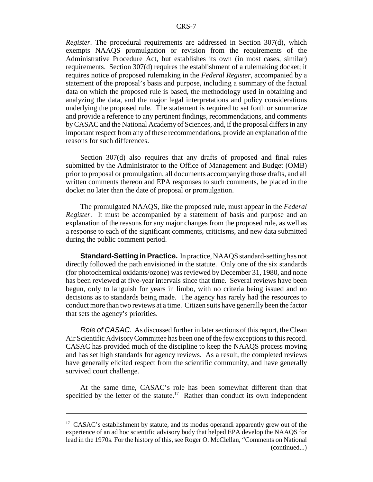*Register*. The procedural requirements are addressed in Section 307(d), which exempts NAAQS promulgation or revision from the requirements of the Administrative Procedure Act, but establishes its own (in most cases, similar) requirements. Section 307(d) requires the establishment of a rulemaking docket; it requires notice of proposed rulemaking in the *Federal Register*, accompanied by a statement of the proposal's basis and purpose, including a summary of the factual data on which the proposed rule is based, the methodology used in obtaining and analyzing the data, and the major legal interpretations and policy considerations underlying the proposed rule. The statement is required to set forth or summarize and provide a reference to any pertinent findings, recommendations, and comments by CASAC and the National Academy of Sciences, and, if the proposal differs in any important respect from any of these recommendations, provide an explanation of the reasons for such differences.

Section 307(d) also requires that any drafts of proposed and final rules submitted by the Administrator to the Office of Management and Budget (OMB) prior to proposal or promulgation, all documents accompanying those drafts, and all written comments thereon and EPA responses to such comments, be placed in the docket no later than the date of proposal or promulgation.

The promulgated NAAQS, like the proposed rule, must appear in the *Federal Register*. It must be accompanied by a statement of basis and purpose and an explanation of the reasons for any major changes from the proposed rule, as well as a response to each of the significant comments, criticisms, and new data submitted during the public comment period.

**Standard-Setting in Practice.** In practice, NAAQS standard-setting has not directly followed the path envisioned in the statute. Only one of the six standards (for photochemical oxidants/ozone) was reviewed by December 31, 1980, and none has been reviewed at five-year intervals since that time. Several reviews have been begun, only to languish for years in limbo, with no criteria being issued and no decisions as to standards being made. The agency has rarely had the resources to conduct more than two reviews at a time. Citizen suits have generally been the factor that sets the agency's priorities.

*Role of CASAC.* As discussed further in later sections of this report, the Clean Air Scientific Advisory Committee has been one of the few exceptions to this record. CASAC has provided much of the discipline to keep the NAAQS process moving and has set high standards for agency reviews. As a result, the completed reviews have generally elicited respect from the scientific community, and have generally survived court challenge.

At the same time, CASAC's role has been somewhat different than that specified by the letter of the statute.<sup>17</sup> Rather than conduct its own independent

 $17$  CASAC's establishment by statute, and its modus operandi apparently grew out of the experience of an ad hoc scientific advisory body that helped EPA develop the NAAQS for lead in the 1970s. For the history of this, see Roger O. McClellan, "Comments on National (continued...)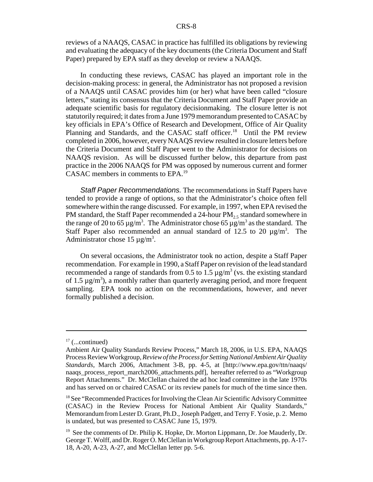reviews of a NAAQS, CASAC in practice has fulfilled its obligations by reviewing and evaluating the adequacy of the key documents (the Criteria Document and Staff Paper) prepared by EPA staff as they develop or review a NAAQS.

In conducting these reviews, CASAC has played an important role in the decision-making process: in general, the Administrator has not proposed a revision of a NAAQS until CASAC provides him (or her) what have been called "closure letters," stating its consensus that the Criteria Document and Staff Paper provide an adequate scientific basis for regulatory decisionmaking. The closure letter is not statutorily required; it dates from a June 1979 memorandum presented to CASAC by key officials in EPA's Office of Research and Development, Office of Air Quality Planning and Standards, and the CASAC staff officer.<sup>18</sup> Until the PM review completed in 2006, however, every NAAQS review resulted in closure letters before the Criteria Document and Staff Paper went to the Administrator for decisions on NAAQS revision. As will be discussed further below, this departure from past practice in the 2006 NAAQS for PM was opposed by numerous current and former CASAC members in comments to EPA.19

*Staff Paper Recommendations.* The recommendations in Staff Papers have tended to provide a range of options, so that the Administrator's choice often fell somewhere within the range discussed. For example, in 1997, when EPA revised the PM standard, the Staff Paper recommended a 24-hour  $PM<sub>2.5</sub>$  standard somewhere in the range of 20 to 65  $\mu$ g/m<sup>3</sup>. The Administrator chose 65  $\mu$ g/m<sup>3</sup> as the standard. The Staff Paper also recommended an annual standard of 12.5 to 20  $\mu$ g/m<sup>3</sup>. The Administrator chose 15  $\mu$ g/m<sup>3</sup>.

On several occasions, the Administrator took no action, despite a Staff Paper recommendation. For example in 1990, a Staff Paper on revision of the lead standard recommended a range of standards from 0.5 to 1.5  $\mu$ g/m<sup>3</sup> (vs. the existing standard of 1.5  $\mu$ g/m<sup>3</sup>), a monthly rather than quarterly averaging period, and more frequent sampling. EPA took no action on the recommendations, however, and never formally published a decision.

 $17$  (...continued)

Ambient Air Quality Standards Review Process," March 18, 2006, in U.S. EPA, NAAQS Process Review Workgroup, *Review of the Process for Setting National Ambient Air Quality Standards*, March 2006, Attachment 3-B, pp. 4-5, at [http://www.epa.gov/ttn/naaqs/ naaqs\_process\_report\_march2006\_attachments.pdf], hereafter referred to as "Workgroup" Report Attachments." Dr. McClellan chaired the ad hoc lead committee in the late 1970s and has served on or chaired CASAC or its review panels for much of the time since then.

<sup>&</sup>lt;sup>18</sup> See "Recommended Practices for Involving the Clean Air Scientific Advisory Committee (CASAC) in the Review Process for National Ambient Air Quality Standards," Memorandum from Lester D. Grant, Ph.D., Joseph Padgett, and Terry F. Yosie, p. 2. Memo is undated, but was presented to CASAC June 15, 1979.

<sup>&</sup>lt;sup>19</sup> See the comments of Dr. Philip K. Hopke, Dr. Morton Lippmann, Dr. Joe Mauderly, Dr. George T. Wolff, and Dr. Roger O. McClellan in Workgroup Report Attachments, pp. A-17- 18, A-20, A-23, A-27, and McClellan letter pp. 5-6.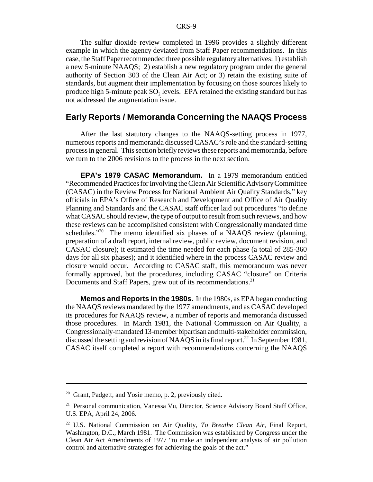The sulfur dioxide review completed in 1996 provides a slightly different example in which the agency deviated from Staff Paper recommendations. In this case, the Staff Paper recommended three possible regulatory alternatives: 1) establish a new 5-minute NAAQS; 2) establish a new regulatory program under the general authority of Section 303 of the Clean Air Act; or 3) retain the existing suite of standards, but augment their implementation by focusing on those sources likely to produce high 5-minute peak  $SO<sub>2</sub>$  levels. EPA retained the existing standard but has not addressed the augmentation issue.

# **Early Reports / Memoranda Concerning the NAAQS Process**

After the last statutory changes to the NAAQS-setting process in 1977, numerous reports and memoranda discussed CASAC's role and the standard-setting process in general. This section briefly reviews these reports and memoranda, before we turn to the 2006 revisions to the process in the next section.

**EPA's 1979 CASAC Memorandum.** In a 1979 memorandum entitled "Recommended Practices for Involving the Clean Air Scientific Advisory Committee (CASAC) in the Review Process for National Ambient Air Quality Standards," key officials in EPA's Office of Research and Development and Office of Air Quality Planning and Standards and the CASAC staff officer laid out procedures "to define what CASAC should review, the type of output to result from such reviews, and how these reviews can be accomplished consistent with Congressionally mandated time schedules. $120$  The memo identified six phases of a NAAOS review (planning, preparation of a draft report, internal review, public review, document revision, and CASAC closure); it estimated the time needed for each phase (a total of 285-360 days for all six phases); and it identified where in the process CASAC review and closure would occur. According to CASAC staff, this memorandum was never formally approved, but the procedures, including CASAC "closure" on Criteria Documents and Staff Papers, grew out of its recommendations.<sup>21</sup>

**Memos and Reports in the 1980s.** In the 1980s, as EPA began conducting the NAAQS reviews mandated by the 1977 amendments, and as CASAC developed its procedures for NAAQS review, a number of reports and memoranda discussed those procedures. In March 1981, the National Commission on Air Quality, a Congressionally-mandated 13-member bipartisan and multi-stakeholder commission, discussed the setting and revision of NAAQS in its final report.<sup>22</sup> In September 1981, CASAC itself completed a report with recommendations concerning the NAAQS

 $20$  Grant, Padgett, and Yosie memo, p. 2, previously cited.

<sup>&</sup>lt;sup>21</sup> Personal communication, Vanessa Vu, Director, Science Advisory Board Staff Office, U.S. EPA, April 24, 2006.

<sup>22</sup> U.S. National Commission on Air Quality, *To Breathe Clean Air*, Final Report, Washington, D.C., March 1981. The Commission was established by Congress under the Clean Air Act Amendments of 1977 "to make an independent analysis of air pollution control and alternative strategies for achieving the goals of the act."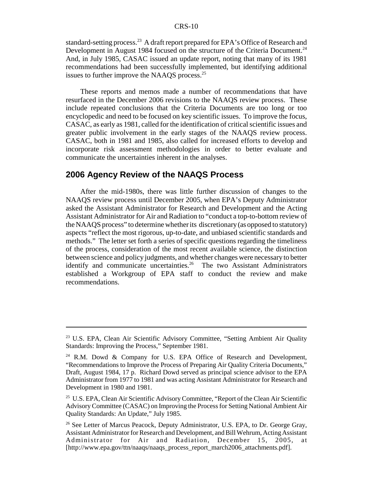standard-setting process.<sup>23</sup> A draft report prepared for EPA's Office of Research and Development in August 1984 focused on the structure of the Criteria Document.<sup>24</sup> And, in July 1985, CASAC issued an update report, noting that many of its 1981 recommendations had been successfully implemented, but identifying additional issues to further improve the NAAQS process. $^{25}$ 

These reports and memos made a number of recommendations that have resurfaced in the December 2006 revisions to the NAAQS review process. These include repeated conclusions that the Criteria Documents are too long or too encyclopedic and need to be focused on key scientific issues. To improve the focus, CASAC, as early as 1981, called for the identification of critical scientific issues and greater public involvement in the early stages of the NAAQS review process. CASAC, both in 1981 and 1985, also called for increased efforts to develop and incorporate risk assessment methodologies in order to better evaluate and communicate the uncertainties inherent in the analyses.

# **2006 Agency Review of the NAAQS Process**

After the mid-1980s, there was little further discussion of changes to the NAAQS review process until December 2005, when EPA's Deputy Administrator asked the Assistant Administrator for Research and Development and the Acting Assistant Administrator for Air and Radiation to "conduct a top-to-bottom review of the NAAQS process" to determine whether its discretionary (as opposed to statutory) aspects "reflect the most rigorous, up-to-date, and unbiased scientific standards and methods." The letter set forth a series of specific questions regarding the timeliness of the process, consideration of the most recent available science, the distinction between science and policy judgments, and whether changes were necessary to better identify and communicate uncertainties.<sup>26</sup> The two Assistant Administrators established a Workgroup of EPA staff to conduct the review and make recommendations.

<sup>&</sup>lt;sup>23</sup> U.S. EPA, Clean Air Scientific Advisory Committee, "Setting Ambient Air Quality Standards: Improving the Process," September 1981.

<sup>24</sup> R.M. Dowd & Company for U.S. EPA Office of Research and Development, "Recommendations to Improve the Process of Preparing Air Quality Criteria Documents," Draft, August 1984, 17 p. Richard Dowd served as principal science advisor to the EPA Administrator from 1977 to 1981 and was acting Assistant Administrator for Research and Development in 1980 and 1981.

<sup>&</sup>lt;sup>25</sup> U.S. EPA, Clean Air Scientific Advisory Committee, "Report of the Clean Air Scientific Advisory Committee (CASAC) on Improving the Process for Setting National Ambient Air Quality Standards: An Update," July 1985.

<sup>&</sup>lt;sup>26</sup> See Letter of Marcus Peacock, Deputy Administrator, U.S. EPA, to Dr. George Gray, Assistant Administrator for Research and Development, and Bill Wehrum, Acting Assistant Administrator for Air and Radiation, December 15, 2005, at [http://www.epa.gov/ttn/naaqs/naaqs\_process\_report\_march2006\_attachments.pdf].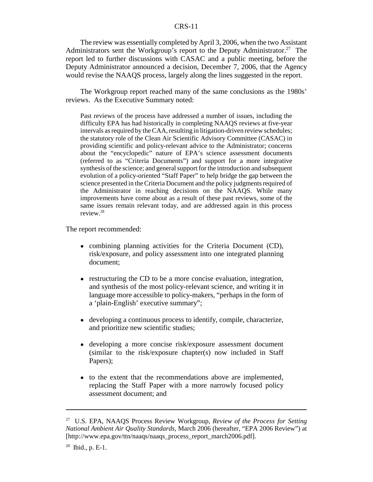The review was essentially completed by April 3, 2006, when the two Assistant Administrators sent the Workgroup's report to the Deputy Administrator.<sup>27</sup> The report led to further discussions with CASAC and a public meeting, before the Deputy Administrator announced a decision, December 7, 2006, that the Agency would revise the NAAQS process, largely along the lines suggested in the report.

The Workgroup report reached many of the same conclusions as the 1980s' reviews. As the Executive Summary noted:

Past reviews of the process have addressed a number of issues, including the difficulty EPA has had historically in completing NAAQS reviews at five-year intervals as required by the CAA, resulting in litigation-driven review schedules; the statutory role of the Clean Air Scientific Advisory Committee (CASAC) in providing scientific and policy-relevant advice to the Administrator; concerns about the "encyclopedic" nature of EPA's science assessment documents (referred to as "Criteria Documents") and support for a more integrative synthesis of the science; and general support for the introduction and subsequent evolution of a policy-oriented "Staff Paper" to help bridge the gap between the science presented in the Criteria Document and the policy judgments required of the Administrator in reaching decisions on the NAAQS. While many improvements have come about as a result of these past reviews, some of the same issues remain relevant today, and are addressed again in this process review.28

The report recommended:

- combining planning activities for the Criteria Document (CD), risk/exposure, and policy assessment into one integrated planning document;
- restructuring the CD to be a more concise evaluation, integration, and synthesis of the most policy-relevant science, and writing it in language more accessible to policy-makers, "perhaps in the form of a 'plain-English' executive summary";
- ! developing a continuous process to identify, compile, characterize, and prioritize new scientific studies;
- ! developing a more concise risk/exposure assessment document (similar to the risk/exposure chapter(s) now included in Staff Papers);
- to the extent that the recommendations above are implemented, replacing the Staff Paper with a more narrowly focused policy assessment document; and

<sup>27</sup> U.S. EPA, NAAQS Process Review Workgroup, *Review of the Process for Setting National Ambient Air Quality Standards*, March 2006 (hereafter, "EPA 2006 Review") at [http://www.epa.gov/ttn/naaqs/naaqs\_process\_report\_march2006.pdf].

 $28$  Ibid., p. E-1.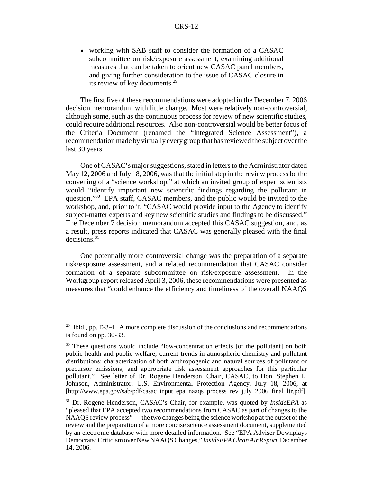• working with SAB staff to consider the formation of a CASAC subcommittee on risk/exposure assessment, examining additional measures that can be taken to orient new CASAC panel members, and giving further consideration to the issue of CASAC closure in its review of key documents.<sup>29</sup>

The first five of these recommendations were adopted in the December 7, 2006 decision memorandum with little change. Most were relatively non-controversial, although some, such as the continuous process for review of new scientific studies, could require additional resources. Also non-controversial would be better focus of the Criteria Document (renamed the "Integrated Science Assessment"), a recommendation made by virtually every group that has reviewed the subject over the last 30 years.

One of CASAC's major suggestions, stated in letters to the Administrator dated May 12, 2006 and July 18, 2006, was that the initial step in the review process be the convening of a "science workshop," at which an invited group of expert scientists would "identify important new scientific findings regarding the pollutant in question."30 EPA staff, CASAC members, and the public would be invited to the workshop, and, prior to it, "CASAC would provide input to the Agency to identify subject-matter experts and key new scientific studies and findings to be discussed." The December 7 decision memorandum accepted this CASAC suggestion, and, as a result, press reports indicated that CASAC was generally pleased with the final decisions.31

One potentially more controversial change was the preparation of a separate risk/exposure assessment, and a related recommendation that CASAC consider formation of a separate subcommittee on risk/exposure assessment. In the Workgroup report released April 3, 2006, these recommendations were presented as measures that "could enhance the efficiency and timeliness of the overall NAAQS

 $29$  Ibid., pp. E-3-4. A more complete discussion of the conclusions and recommendations is found on pp. 30-33.

<sup>&</sup>lt;sup>30</sup> These questions would include "low-concentration effects [of the pollutant] on both public health and public welfare; current trends in atmospheric chemistry and pollutant distributions; characterization of both anthropogenic and natural sources of pollutant or precursor emissions; and appropriate risk assessment approaches for this particular pollutant." See letter of Dr. Rogene Henderson, Chair, CASAC, to Hon. Stephen L. Johnson, Administrator, U.S. Environmental Protection Agency, July 18, 2006, at [http://www.epa.gov/sab/pdf/casac\_input\_epa\_naaqs\_process\_rev\_july\_2006\_final\_ltr.pdf].

<sup>31</sup> Dr. Rogene Henderson, CASAC's Chair, for example, was quoted by *InsideEPA* as "pleased that EPA accepted two recommendations from CASAC as part of changes to the NAAQS review process" — the two changes being the science workshop at the outset of the review and the preparation of a more concise science assessment document, supplemented by an electronic database with more detailed information. See "EPA Adviser Downplays Democrats' Criticism over New NAAQS Changes," *InsideEPA Clean Air Report*, December 14, 2006.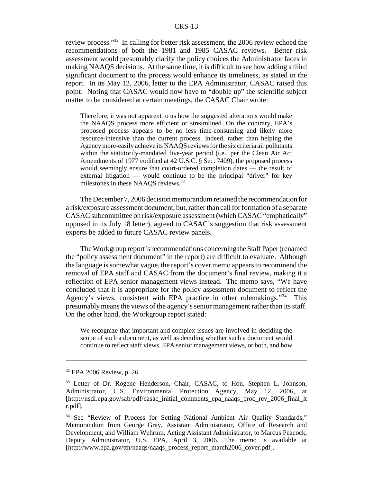review process."32 In calling for better risk assessment, the 2006 review echoed the recommendations of both the 1981 and 1985 CASAC reviews. Better risk assessment would presumably clarify the policy choices the Administrator faces in making NAAQS decisions. At the same time, it is difficult to see how adding a third significant document to the process would enhance its timeliness, as stated in the report. In its May 12, 2006, letter to the EPA Administrator, CASAC raised this point. Noting that CASAC would now have to "double up" the scientific subject matter to be considered at certain meetings, the CASAC Chair wrote:

Therefore, it was not apparent to us how the suggested alterations would make the NAAQS process more efficient or streamlined. On the contrary, EPA's proposed process appears to be no less time-consuming and likely more resource-intensive than the current process. Indeed, rather than helping the Agency more-easily achieve its NAAQS reviews for the six criteria air pollutants within the statutorily-mandated five-year period (i.e., per the Clean Air Act Amendments of 1977 codified at 42 U.S.C. § Sec. 7409), the proposed process would seemingly ensure that court-ordered completion dates — the result of external litigation — would continue to be the principal "driver" for key milestones in these NAAOS reviews.<sup>33</sup>

The December 7, 2006 decision memorandum retained the recommendation for a risk/exposure assessment document, but, rather than call for formation of a separate CASAC subcommittee on risk/exposure assessment (which CASAC "emphatically" opposed in its July 18 letter), agreed to CASAC's suggestion that risk assessment experts be added to future CASAC review panels.

The Workgroup report's recommendations concerning the Staff Paper (renamed the "policy assessment document" in the report) are difficult to evaluate. Although the language is somewhat vague, the report's cover memo appears to recommend the removal of EPA staff and CASAC from the document's final review, making it a reflection of EPA senior management views instead. The memo says, "We have concluded that it is appropriate for the policy assessment document to reflect the Agency's views, consistent with EPA practice in other rulemakings."<sup>34</sup> This presumably means the views of the agency's senior management rather than its staff. On the other hand, the Workgroup report stated:

We recognize that important and complex issues are involved in deciding the scope of such a document, as well as deciding whether such a document would continue to reflect staff views, EPA senior management views, or both, and how

<sup>32</sup> EPA 2006 Review, p. 26.

<sup>&</sup>lt;sup>33</sup> Letter of Dr. Rogene Henderson, Chair, CASAC, to Hon. Stephen L. Johnson, Administrator, U.S. Environmental Protection Agency, May 12, 2006, at [http://nsdi.epa.gov/sab/pdf/casac\_initial\_comments\_epa\_naaqs\_proc\_rev\_2006\_final\_lt r.pdf].

<sup>&</sup>lt;sup>34</sup> See "Review of Process for Setting National Ambient Air Quality Standards," Memorandum from George Gray, Assistant Administrator, Office of Research and Development, and William Wehrum, Acting Assistant Administrator, to Marcus Peacock, Deputy Administrator, U.S. EPA, April 3, 2006. The memo is available at [http://www.epa.gov/ttn/naaqs/naaqs\_process\_report\_march2006\_cover.pdf].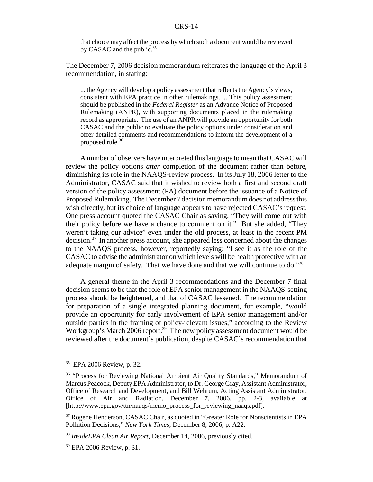that choice may affect the process by which such a document would be reviewed by CASAC and the public.<sup>35</sup>

The December 7, 2006 decision memorandum reiterates the language of the April 3 recommendation, in stating:

... the Agency will develop a policy assessment that reflects the Agency's views, consistent with EPA practice in other rulemakings. ... This policy assessment should be published in the *Federal Register* as an Advance Notice of Proposed Rulemaking (ANPR), with supporting documents placed in the rulemaking record as appropriate. The use of an ANPR will provide an opportunity for both CASAC and the public to evaluate the policy options under consideration and offer detailed comments and recommendations to inform the development of a proposed rule.<sup>36</sup>

A number of observers have interpreted this language to mean that CASAC will review the policy options *after* completion of the document rather than before, diminishing its role in the NAAQS-review process. In its July 18, 2006 letter to the Administrator, CASAC said that it wished to review both a first and second draft version of the policy assessment (PA) document before the issuance of a Notice of Proposed Rulemaking. The December 7 decision memorandum does not address this wish directly, but its choice of language appears to have rejected CASAC's request. One press account quoted the CASAC Chair as saying, "They will come out with their policy before we have a chance to comment on it." But she added, "They weren't taking our advice" even under the old process, at least in the recent PM decision.37 In another press account, she appeared less concerned about the changes to the NAAQS process, however, reportedly saying: "I see it as the role of the CASAC to advise the administrator on which levels will be health protective with an adequate margin of safety. That we have done and that we will continue to do."<sup>38</sup>

A general theme in the April 3 recommendations and the December 7 final decision seems to be that the role of EPA senior management in the NAAQS-setting process should be heightened, and that of CASAC lessened. The recommendation for preparation of a single integrated planning document, for example, "would provide an opportunity for early involvement of EPA senior management and/or outside parties in the framing of policy-relevant issues," according to the Review Workgroup's March 2006 report.<sup>39</sup> The new policy assessment document would be reviewed after the document's publication, despite CASAC's recommendation that

 $35$  EPA 2006 Review, p. 32.

<sup>&</sup>lt;sup>36</sup> "Process for Reviewing National Ambient Air Quality Standards," Memorandum of Marcus Peacock, Deputy EPA Administrator, to Dr. George Gray, Assistant Administrator, Office of Research and Development, and Bill Wehrum, Acting Assistant Administrator, Office of Air and Radiation, December 7, 2006, pp. 2-3, available at [http://www.epa.gov/ttn/naaqs/memo\_process\_for\_reviewing\_naaqs.pdf].

<sup>&</sup>lt;sup>37</sup> Rogene Henderson, CASAC Chair, as quoted in "Greater Role for Nonscientists in EPA Pollution Decisions," *New York Times*, December 8, 2006, p. A22.

<sup>38</sup> *InsideEPA Clean Air Report*, December 14, 2006, previously cited.

<sup>&</sup>lt;sup>39</sup> EPA 2006 Review, p. 31.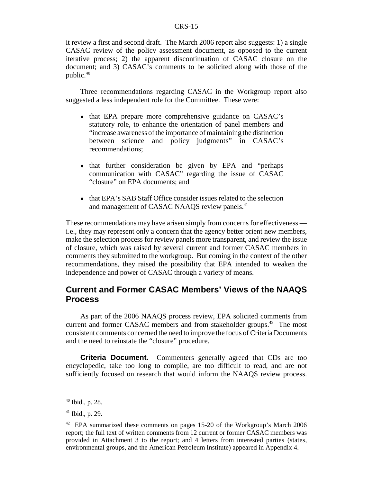it review a first and second draft. The March 2006 report also suggests: 1) a single CASAC review of the policy assessment document, as opposed to the current iterative process; 2) the apparent discontinuation of CASAC closure on the document; and 3) CASAC's comments to be solicited along with those of the public.40

Three recommendations regarding CASAC in the Workgroup report also suggested a less independent role for the Committee. These were:

- that EPA prepare more comprehensive guidance on CASAC's statutory role, to enhance the orientation of panel members and "increase awareness of the importance of maintaining the distinction between science and policy judgments" in CASAC's recommendations;
- that further consideration be given by EPA and "perhaps" communication with CASAC" regarding the issue of CASAC "closure" on EPA documents; and
- that EPA's SAB Staff Office consider issues related to the selection and management of CASAC NAAQS review panels.<sup>41</sup>

These recommendations may have arisen simply from concerns for effectiveness i.e., they may represent only a concern that the agency better orient new members, make the selection process for review panels more transparent, and review the issue of closure, which was raised by several current and former CASAC members in comments they submitted to the workgroup. But coming in the context of the other recommendations, they raised the possibility that EPA intended to weaken the independence and power of CASAC through a variety of means.

# **Current and Former CASAC Members' Views of the NAAQS Process**

As part of the 2006 NAAQS process review, EPA solicited comments from current and former CASAC members and from stakeholder groups.<sup>42</sup> The most consistent comments concerned the need to improve the focus of Criteria Documents and the need to reinstate the "closure" procedure.

**Criteria Document.** Commenters generally agreed that CDs are too encyclopedic, take too long to compile, are too difficult to read, and are not sufficiently focused on research that would inform the NAAQS review process.

<sup>40</sup> Ibid., p. 28.

 $41$  Ibid., p. 29.

<sup>42</sup> EPA summarized these comments on pages 15-20 of the Workgroup's March 2006 report; the full text of written comments from 12 current or former CASAC members was provided in Attachment 3 to the report; and 4 letters from interested parties (states, environmental groups, and the American Petroleum Institute) appeared in Appendix 4.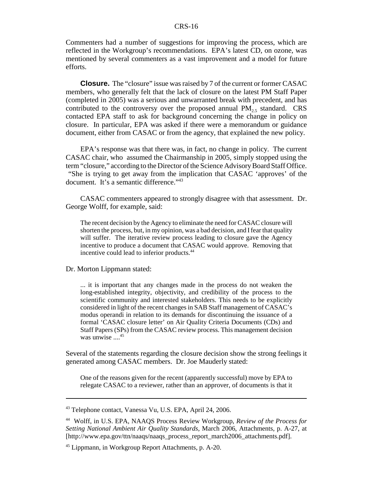Commenters had a number of suggestions for improving the process, which are reflected in the Workgroup's recommendations. EPA's latest CD, on ozone, was mentioned by several commenters as a vast improvement and a model for future efforts.

**Closure.** The "closure" issue was raised by 7 of the current or former CASAC members, who generally felt that the lack of closure on the latest PM Staff Paper (completed in 2005) was a serious and unwarranted break with precedent, and has contributed to the controversy over the proposed annual  $PM_{2.5}$  standard. CRS contacted EPA staff to ask for background concerning the change in policy on closure. In particular, EPA was asked if there were a memorandum or guidance document, either from CASAC or from the agency, that explained the new policy.

EPA's response was that there was, in fact, no change in policy. The current CASAC chair, who assumed the Chairmanship in 2005, simply stopped using the term "closure," according to the Director of the Science Advisory Board Staff Office. "She is trying to get away from the implication that CASAC 'approves' of the document. It's a semantic difference."<sup>43</sup>

CASAC commenters appeared to strongly disagree with that assessment. Dr. George Wolff, for example, said:

The recent decision by the Agency to eliminate the need for CASAC closure will shorten the process, but, in my opinion, was a bad decision, and I fear that quality will suffer. The iterative review process leading to closure gave the Agency incentive to produce a document that CASAC would approve. Removing that incentive could lead to inferior products.<sup>44</sup>

Dr. Morton Lippmann stated:

... it is important that any changes made in the process do not weaken the long-established integrity, objectivity, and credibility of the process to the scientific community and interested stakeholders. This needs to be explicitly considered in light of the recent changes in SAB Staff management of CASAC's modus operandi in relation to its demands for discontinuing the issuance of a formal 'CASAC closure letter' on Air Quality Criteria Documents (CDs) and Staff Papers (SPs) from the CASAC review process. This management decision was unwise ....<sup>45</sup>

Several of the statements regarding the closure decision show the strong feelings it generated among CASAC members. Dr. Joe Mauderly stated:

One of the reasons given for the recent (apparently successful) move by EPA to relegate CASAC to a reviewer, rather than an approver, of documents is that it

<sup>43</sup> Telephone contact, Vanessa Vu, U.S. EPA, April 24, 2006.

<sup>44</sup> Wolff, in U.S. EPA, NAAQS Process Review Workgroup, *Review of the Process for Setting National Ambient Air Quality Standards*, March 2006, Attachments, p. A-27, at [http://www.epa.gov/ttn/naaqs/naaqs\_process\_report\_march2006\_attachments.pdf].

<sup>45</sup> Lippmann, in Workgroup Report Attachments, p. A-20.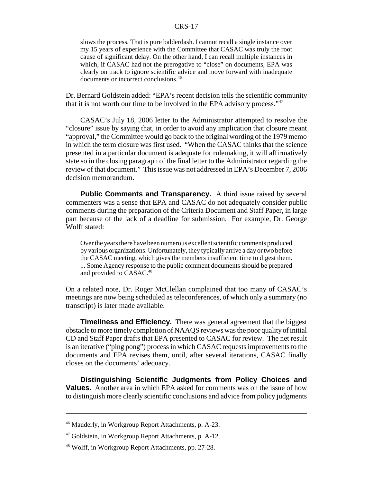slows the process. That is pure balderdash. I cannot recall a single instance over my 15 years of experience with the Committee that CASAC was truly the root cause of significant delay. On the other hand, I can recall multiple instances in which, if CASAC had not the prerogative to "close" on documents, EPA was clearly on track to ignore scientific advice and move forward with inadequate documents or incorrect conclusions.46

Dr. Bernard Goldstein added: "EPA's recent decision tells the scientific community that it is not worth our time to be involved in the EPA advisory process."47

CASAC's July 18, 2006 letter to the Administrator attempted to resolve the "closure" issue by saying that, in order to avoid any implication that closure meant "approval," the Committee would go back to the original wording of the 1979 memo in which the term closure was first used. "When the CASAC thinks that the science presented in a particular document is adequate for rulemaking, it will affirmatively state so in the closing paragraph of the final letter to the Administrator regarding the review of that document." This issue was not addressed in EPA's December 7, 2006 decision memorandum.

**Public Comments and Transparency.** A third issue raised by several commenters was a sense that EPA and CASAC do not adequately consider public comments during the preparation of the Criteria Document and Staff Paper, in large part because of the lack of a deadline for submission. For example, Dr. George Wolff stated:

Over the years there have been numerous excellent scientific comments produced by various organizations. Unfortunately, they typically arrive a day or two before the CASAC meeting, which gives the members insufficient time to digest them. ... Some Agency response to the public comment documents should be prepared and provided to CASAC.<sup>48</sup>

On a related note, Dr. Roger McClellan complained that too many of CASAC's meetings are now being scheduled as teleconferences, of which only a summary (no transcript) is later made available.

**Timeliness and Efficiency.** There was general agreement that the biggest obstacle to more timely completion of NAAQS reviews was the poor quality of initial CD and Staff Paper drafts that EPA presented to CASAC for review. The net result is an iterative ("ping pong") process in which CASAC requests improvements to the documents and EPA revises them, until, after several iterations, CASAC finally closes on the documents' adequacy.

**Distinguishing Scientific Judgments from Policy Choices and Values.** Another area in which EPA asked for comments was on the issue of how to distinguish more clearly scientific conclusions and advice from policy judgments

<sup>46</sup> Mauderly, in Workgroup Report Attachments, p. A-23.

 $47$  Goldstein, in Workgroup Report Attachments, p. A-12.

<sup>48</sup> Wolff, in Workgroup Report Attachments, pp. 27-28.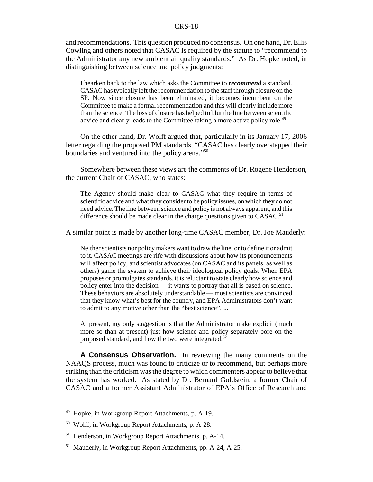and recommendations. This question produced no consensus. On one hand, Dr. Ellis Cowling and others noted that CASAC is required by the statute to "recommend to the Administrator any new ambient air quality standards." As Dr. Hopke noted, in distinguishing between science and policy judgments:

I hearken back to the law which asks the Committee to *recommend* a standard. CASAC has typically left the recommendation to the staff through closure on the SP. Now since closure has been eliminated, it becomes incumbent on the Committee to make a formal recommendation and this will clearly include more than the science. The loss of closure has helped to blur the line between scientific advice and clearly leads to the Committee taking a more active policy role.<sup>49</sup>

On the other hand, Dr. Wolff argued that, particularly in its January 17, 2006 letter regarding the proposed PM standards, "CASAC has clearly overstepped their boundaries and ventured into the policy arena."50

Somewhere between these views are the comments of Dr. Rogene Henderson, the current Chair of CASAC, who states:

The Agency should make clear to CASAC what they require in terms of scientific advice and what they consider to be policy issues, on which they do not need advice. The line between science and policy is not always apparent, and this difference should be made clear in the charge questions given to CASAC.<sup>51</sup>

A similar point is made by another long-time CASAC member, Dr. Joe Mauderly:

Neither scientists nor policy makers want to draw the line, or to define it or admit to it. CASAC meetings are rife with discussions about how its pronouncements will affect policy, and scientist advocates (on CASAC and its panels, as well as others) game the system to achieve their ideological policy goals. When EPA proposes or promulgates standards, it is reluctant to state clearly how science and policy enter into the decision — it wants to portray that all is based on science. These behaviors are absolutely understandable — most scientists are convinced that they know what's best for the country, and EPA Administrators don't want to admit to any motive other than the "best science". ...

At present, my only suggestion is that the Administrator make explicit (much more so than at present) just how science and policy separately bore on the proposed standard, and how the two were integrated. $52$ 

**A Consensus Observation.** In reviewing the many comments on the NAAQS process, much was found to criticize or to recommend, but perhaps more striking than the criticism was the degree to which commenters appear to believe that the system has worked. As stated by Dr. Bernard Goldstein, a former Chair of CASAC and a former Assistant Administrator of EPA's Office of Research and

<sup>49</sup> Hopke, in Workgroup Report Attachments, p. A-19.

<sup>50</sup> Wolff, in Workgroup Report Attachments, p. A-28.

<sup>51</sup> Henderson, in Workgroup Report Attachments, p. A-14.

<sup>52</sup> Mauderly, in Workgroup Report Attachments, pp. A-24, A-25.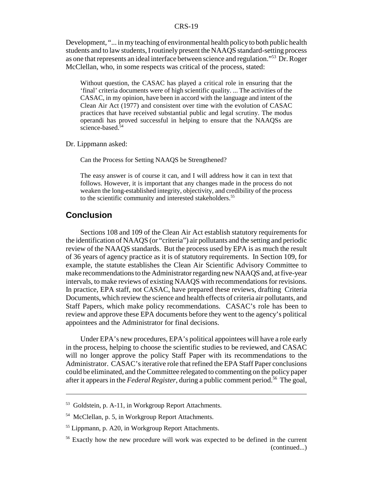Development, "... in my teaching of environmental health policy to both public health students and to law students, I routinely present the NAAQS standard-setting process as one that represents an ideal interface between science and regulation."53 Dr. Roger McClellan, who, in some respects was critical of the process, stated:

Without question, the CASAC has played a critical role in ensuring that the 'final' criteria documents were of high scientific quality. ... The activities of the CASAC, in my opinion, have been in accord with the language and intent of the Clean Air Act (1977) and consistent over time with the evolution of CASAC practices that have received substantial public and legal scrutiny. The modus operandi has proved successful in helping to ensure that the NAAQSs are science-based.<sup>54</sup>

Dr. Lippmann asked:

Can the Process for Setting NAAQS be Strengthened?

The easy answer is of course it can, and I will address how it can in text that follows. However, it is important that any changes made in the process do not weaken the long-established integrity, objectivity, and credibility of the process to the scientific community and interested stakeholders.<sup>55</sup>

# **Conclusion**

Sections 108 and 109 of the Clean Air Act establish statutory requirements for the identification of NAAQS (or "criteria") air pollutants and the setting and periodic review of the NAAQS standards. But the process used by EPA is as much the result of 36 years of agency practice as it is of statutory requirements. In Section 109, for example, the statute establishes the Clean Air Scientific Advisory Committee to make recommendations to the Administrator regarding new NAAQS and, at five-year intervals, to make reviews of existing NAAQS with recommendations for revisions. In practice, EPA staff, not CASAC, have prepared these reviews, drafting Criteria Documents, which review the science and health effects of criteria air pollutants, and Staff Papers, which make policy recommendations. CASAC's role has been to review and approve these EPA documents before they went to the agency's political appointees and the Administrator for final decisions.

Under EPA's new procedures, EPA's political appointees will have a role early in the process, helping to choose the scientific studies to be reviewed, and CASAC will no longer approve the policy Staff Paper with its recommendations to the Administrator. CASAC's iterative role that refined the EPA Staff Paper conclusions could be eliminated, and the Committee relegated to commenting on the policy paper after it appears in the *Federal Register*, during a public comment period.<sup>56</sup> The goal,

<sup>53</sup> Goldstein, p. A-11, in Workgroup Report Attachments.

<sup>54</sup> McClellan, p. 5, in Workgroup Report Attachments.

<sup>55</sup> Lippmann, p. A20, in Workgroup Report Attachments.

<sup>56</sup> Exactly how the new procedure will work was expected to be defined in the current (continued...)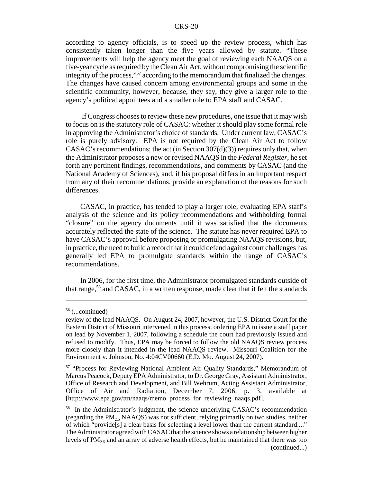according to agency officials, is to speed up the review process, which has consistently taken longer than the five years allowed by statute. "These improvements will help the agency meet the goal of reviewing each NAAQS on a five-year cycle as required by the Clean Air Act, without compromising the scientific integrity of the process,"<sup>57</sup> according to the memorandum that finalized the changes. The changes have caused concern among environmental groups and some in the scientific community, however, because, they say, they give a larger role to the agency's political appointees and a smaller role to EPA staff and CASAC.

 If Congress chooses to review these new procedures, one issue that it may wish to focus on is the statutory role of CASAC: whether it should play some formal role in approving the Administrator's choice of standards. Under current law, CASAC's role is purely advisory. EPA is not required by the Clean Air Act to follow CASAC's recommendations; the act (in Section  $307(d)(3)$ ) requires only that, when the Administrator proposes a new or revised NAAQS in the *Federal Register*, he set forth any pertinent findings, recommendations, and comments by CASAC (and the National Academy of Sciences), and, if his proposal differs in an important respect from any of their recommendations, provide an explanation of the reasons for such differences.

CASAC, in practice, has tended to play a larger role, evaluating EPA staff's analysis of the science and its policy recommendations and withholding formal "closure" on the agency documents until it was satisfied that the documents accurately reflected the state of the science. The statute has never required EPA to have CASAC's approval before proposing or promulgating NAAQS revisions, but, in practice, the need to build a record that it could defend against court challenges has generally led EPA to promulgate standards within the range of CASAC's recommendations.

In 2006, for the first time, the Administrator promulgated standards outside of that range,58 and CASAC, in a written response, made clear that it felt the standards

<sup>56 (...</sup>continued)

review of the lead NAAQS. On August 24, 2007, however, the U.S. District Court for the Eastern District of Missouri intervened in this process, ordering EPA to issue a staff paper on lead by November 1, 2007, following a schedule the court had previously issued and refused to modify. Thus, EPA may be forced to follow the old NAAQS review process more closely than it intended in the lead NAAQS review. Missouri Coalition for the Environment v. Johnson, No. 4:04CV00660 (E.D. Mo. August 24, 2007).

<sup>57 &</sup>quot;Process for Reviewing National Ambient Air Quality Standards," Memorandum of Marcus Peacock, Deputy EPA Administrator, to Dr. George Gray, Assistant Administrator, Office of Research and Development, and Bill Wehrum, Acting Assistant Administrator, Office of Air and Radiation, December 7, 2006, p. 3, available at [http://www.epa.gov/ttn/naaqs/memo\_process\_for\_reviewing\_naaqs.pdf].

<sup>&</sup>lt;sup>58</sup> In the Administrator's judgment, the science underlying CASAC's recommendation (regarding the  $PM_{25}$  NAAQS) was not sufficient, relying primarily on two studies, neither of which "provide[s] a clear basis for selecting a level lower than the current standard...." The Administrator agreed with CASAC that the science shows a relationship between higher levels of  $PM<sub>2.5</sub>$  and an array of adverse health effects, but he maintained that there was too (continued...)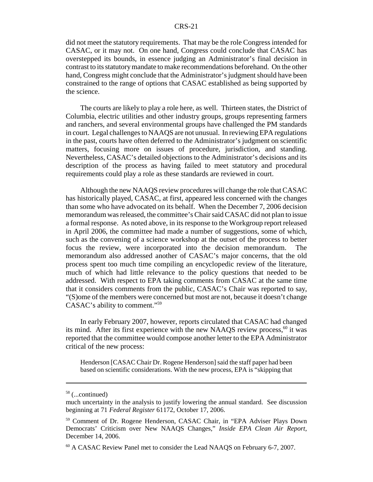did not meet the statutory requirements. That may be the role Congress intended for CASAC, or it may not. On one hand, Congress could conclude that CASAC has overstepped its bounds, in essence judging an Administrator's final decision in contrast to its statutory mandate to make recommendations beforehand. On the other hand, Congress might conclude that the Administrator's judgment should have been constrained to the range of options that CASAC established as being supported by the science.

The courts are likely to play a role here, as well. Thirteen states, the District of Columbia, electric utilities and other industry groups, groups representing farmers and ranchers, and several environmental groups have challenged the PM standards in court. Legal challenges to NAAQS are not unusual. In reviewing EPA regulations in the past, courts have often deferred to the Administrator's judgment on scientific matters, focusing more on issues of procedure, jurisdiction, and standing. Nevertheless, CASAC's detailed objections to the Administrator's decisions and its description of the process as having failed to meet statutory and procedural requirements could play a role as these standards are reviewed in court.

Although the new NAAQS review procedures will change the role that CASAC has historically played, CASAC, at first, appeared less concerned with the changes than some who have advocated on its behalf. When the December 7, 2006 decision memorandum was released, the committee's Chair said CASAC did not plan to issue a formal response. As noted above, in its response to the Workgroup report released in April 2006, the committee had made a number of suggestions, some of which, such as the convening of a science workshop at the outset of the process to better focus the review, were incorporated into the decision memorandum. The memorandum also addressed another of CASAC's major concerns, that the old process spent too much time compiling an encyclopedic review of the literature, much of which had little relevance to the policy questions that needed to be addressed. With respect to EPA taking comments from CASAC at the same time that it considers comments from the public, CASAC's Chair was reported to say, "(S)ome of the members were concerned but most are not, because it doesn't change CASAC's ability to comment."59

In early February 2007, however, reports circulated that CASAC had changed its mind. After its first experience with the new NAAQS review process, $60$  it was reported that the committee would compose another letter to the EPA Administrator critical of the new process:

Henderson [CASAC Chair Dr. Rogene Henderson] said the staff paper had been based on scientific considerations. With the new process, EPA is "skipping that

<sup>58 (...</sup>continued)

much uncertainty in the analysis to justify lowering the annual standard. See discussion beginning at 71 *Federal Register* 61172, October 17, 2006.

<sup>59</sup> Comment of Dr. Rogene Henderson, CASAC Chair, in "EPA Adviser Plays Down Democrats' Criticism over New NAAQS Changes," *Inside EPA Clean Air Report*, December 14, 2006.

<sup>&</sup>lt;sup>60</sup> A CASAC Review Panel met to consider the Lead NAAQS on February 6-7, 2007.